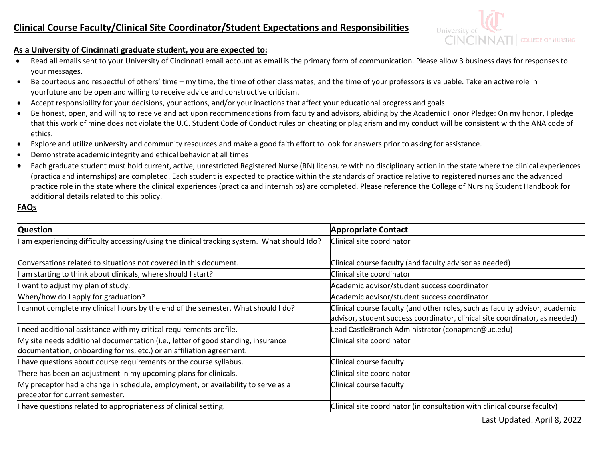## **Clinical Course Faculty/Clinical Site Coordinator/Student Expectations and Responsibilities**



## **As a University of Cincinnati graduate student, you are expected to:**

- Read all emails sent to your University of Cincinnati email account as email is the primary form of communication. Please allow 3 business days for responses to your messages.
- Be courteous and respectful of others' time my time, the time of other classmates, and the time of your professors is valuable. Take an active role in yourfuture and be open and willing to receive advice and constructive criticism.
- Accept responsibility for your decisions, your actions, and/or your inactions that affect your educational progress and goals
- Be honest, open, and willing to receive and act upon recommendations from faculty and advisors, abiding by the Academic Honor Pledge: On my honor, I pledge that this work of mine does not violate the U.C. Student Code of Conduct rules on cheating or plagiarism and my conduct will be consistent with the ANA code of ethics.
- Explore and utilize university and community resources and make a good faith effort to look for answers prior to asking for assistance.
- Demonstrate academic integrity and ethical behavior at all times
- Each graduate student must hold current, active, unrestricted Registered Nurse (RN) licensure with no disciplinary action in the state where the clinical experiences (practica and internships) are completed. Each student is expected to practice within the standards of practice relative to registered nurses and the advanced practice role in the state where the clinical experiences (practica and internships) are completed. Please reference the College of Nursing Student Handbook for additional details related to this policy.

## **FAQs**

| <b>Question</b>                                                                                                                                         | <b>Appropriate Contact</b>                                                                                                                                 |
|---------------------------------------------------------------------------------------------------------------------------------------------------------|------------------------------------------------------------------------------------------------------------------------------------------------------------|
| am experiencing difficulty accessing/using the clinical tracking system. What should Ido?                                                               | Clinical site coordinator                                                                                                                                  |
| Conversations related to situations not covered in this document.                                                                                       | Clinical course faculty (and faculty advisor as needed)                                                                                                    |
| am starting to think about clinicals, where should I start?                                                                                             | Clinical site coordinator                                                                                                                                  |
| want to adjust my plan of study.                                                                                                                        | Academic advisor/student success coordinator                                                                                                               |
| When/how do I apply for graduation?                                                                                                                     | Academic advisor/student success coordinator                                                                                                               |
| I cannot complete my clinical hours by the end of the semester. What should I do?                                                                       | Clinical course faculty (and other roles, such as faculty advisor, academic<br>advisor, student success coordinator, clinical site coordinator, as needed) |
| I need additional assistance with my critical requirements profile.                                                                                     | Lead CastleBranch Administrator (conaprncr@uc.edu)                                                                                                         |
| My site needs additional documentation (i.e., letter of good standing, insurance<br>documentation, onboarding forms, etc.) or an affiliation agreement. | Clinical site coordinator                                                                                                                                  |
| I have questions about course requirements or the course syllabus.                                                                                      | Clinical course faculty                                                                                                                                    |
| There has been an adjustment in my upcoming plans for clinicals.                                                                                        | Clinical site coordinator                                                                                                                                  |
| My preceptor had a change in schedule, employment, or availability to serve as a<br>preceptor for current semester.                                     | Clinical course faculty                                                                                                                                    |
| I have questions related to appropriateness of clinical setting.                                                                                        | Clinical site coordinator (in consultation with clinical course faculty)                                                                                   |

Last Updated: April 8, 2022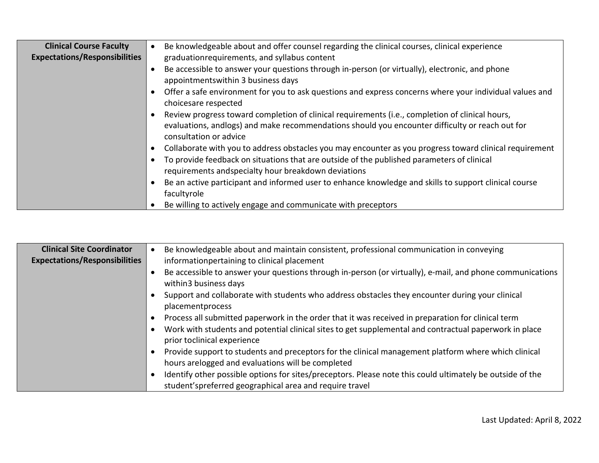| <b>Clinical Course Faculty</b>       | Be knowledgeable about and offer counsel regarding the clinical courses, clinical experience            |
|--------------------------------------|---------------------------------------------------------------------------------------------------------|
| <b>Expectations/Responsibilities</b> | graduationrequirements, and syllabus content                                                            |
|                                      | Be accessible to answer your questions through in-person (or virtually), electronic, and phone          |
|                                      | appointments within 3 business days                                                                     |
|                                      | Offer a safe environment for you to ask questions and express concerns where your individual values and |
|                                      | choicesare respected                                                                                    |
|                                      | Review progress toward completion of clinical requirements (i.e., completion of clinical hours,         |
|                                      | evaluations, andlogs) and make recommendations should you encounter difficulty or reach out for         |
|                                      | consultation or advice                                                                                  |
|                                      | Collaborate with you to address obstacles you may encounter as you progress toward clinical requirement |
|                                      | To provide feedback on situations that are outside of the published parameters of clinical              |
|                                      | requirements and specialty hour breakdown deviations                                                    |
|                                      | Be an active participant and informed user to enhance knowledge and skills to support clinical course   |
|                                      | facultyrole                                                                                             |
|                                      | Be willing to actively engage and communicate with preceptors                                           |

| <b>Clinical Site Coordinator</b>     | Be knowledgeable about and maintain consistent, professional communication in conveying                                               |
|--------------------------------------|---------------------------------------------------------------------------------------------------------------------------------------|
| <b>Expectations/Responsibilities</b> | informationpertaining to clinical placement                                                                                           |
|                                      | Be accessible to answer your questions through in-person (or virtually), e-mail, and phone communications<br>within3 business days    |
|                                      | Support and collaborate with students who address obstacles they encounter during your clinical<br>placementprocess                   |
|                                      | Process all submitted paperwork in the order that it was received in preparation for clinical term                                    |
|                                      | Work with students and potential clinical sites to get supplemental and contractual paperwork in place<br>prior toclinical experience |
|                                      | Provide support to students and preceptors for the clinical management platform where which clinical                                  |
|                                      | hours arelogged and evaluations will be completed                                                                                     |
|                                      | Identify other possible options for sites/preceptors. Please note this could ultimately be outside of the                             |
|                                      | student'spreferred geographical area and require travel                                                                               |